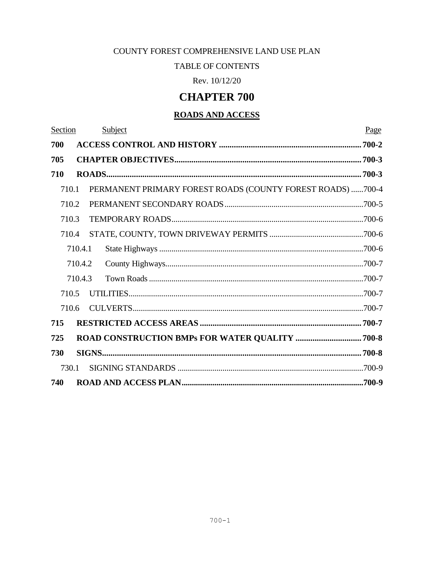## COUNTY FOREST COMPREHENSIVE LAND USE PLAN

#### TABLE OF CONTENTS

Rev. 10/12/20

## **CHAPTER 700**

## **ROADS AND ACCESS**

| Section |         | Subject                                                    | Page |
|---------|---------|------------------------------------------------------------|------|
| 700     |         |                                                            |      |
| 705     |         |                                                            |      |
| 710     |         |                                                            |      |
| 710.1   |         | PERMANENT PRIMARY FOREST ROADS (COUNTY FOREST ROADS) 700-4 |      |
| 710.2   |         |                                                            |      |
| 710.3   |         |                                                            |      |
| 710.4   |         |                                                            |      |
|         | 710.4.1 |                                                            |      |
|         | 710.4.2 |                                                            |      |
|         | 710.4.3 |                                                            |      |
| 710.5   |         |                                                            |      |
| 710.6   |         |                                                            |      |
| 715     |         |                                                            |      |
| 725     |         |                                                            |      |
| 730     |         |                                                            |      |
| 730.1   |         |                                                            |      |
| 740     |         |                                                            |      |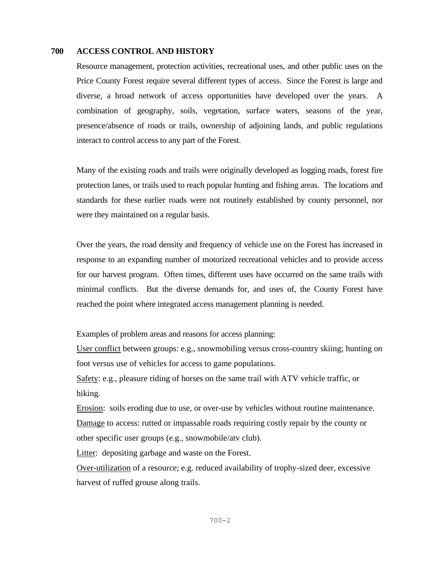#### <span id="page-1-0"></span>**700 ACCESS CONTROL AND HISTORY**

Resource management, protection activities, recreational uses, and other public uses on the Price County Forest require several different types of access. Since the Forest is large and diverse, a broad network of access opportunities have developed over the years. A combination of geography, soils, vegetation, surface waters, seasons of the year, presence/absence of roads or trails, ownership of adjoining lands, and public regulations interact to control access to any part of the Forest.

Many of the existing roads and trails were originally developed as logging roads, forest fire protection lanes, or trails used to reach popular hunting and fishing areas. The locations and standards for these earlier roads were not routinely established by county personnel, nor were they maintained on a regular basis.

Over the years, the road density and frequency of vehicle use on the Forest has increased in response to an expanding number of motorized recreational vehicles and to provide access for our harvest program. Often times, different uses have occurred on the same trails with minimal conflicts. But the diverse demands for, and uses of, the County Forest have reached the point where integrated access management planning is needed.

Examples of problem areas and reasons for access planning:

User conflict between groups: e.g., snowmobiling versus cross-country skiing; hunting on foot versus use of vehicles for access to game populations.

Safety: e.g., pleasure riding of horses on the same trail with ATV vehicle traffic, or hiking.

Erosion: soils eroding due to use, or over-use by vehicles without routine maintenance. Damage to access: rutted or impassable roads requiring costly repair by the county or other specific user groups (e.g., snowmobile/atv club).

Litter: depositing garbage and waste on the Forest.

Over-utilization of a resource; e.g. reduced availability of trophy-sized deer, excessive harvest of ruffed grouse along trails.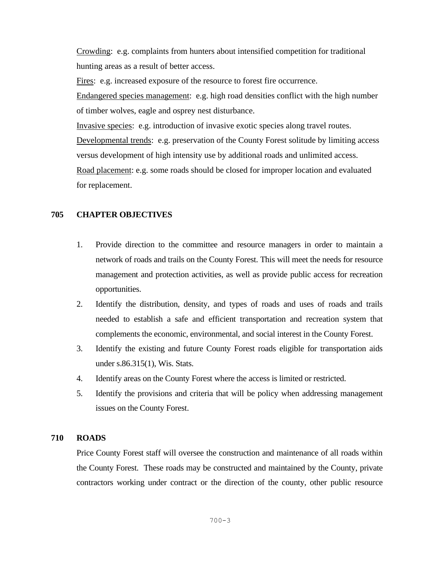Crowding: e.g. complaints from hunters about intensified competition for traditional hunting areas as a result of better access.

Fires: e.g. increased exposure of the resource to forest fire occurrence.

Endangered species management: e.g. high road densities conflict with the high number of timber wolves, eagle and osprey nest disturbance.

Invasive species: e.g. introduction of invasive exotic species along travel routes. Developmental trends: e.g. preservation of the County Forest solitude by limiting access versus development of high intensity use by additional roads and unlimited access. Road placement: e.g. some roads should be closed for improper location and evaluated

for replacement.

## <span id="page-2-0"></span>**705 CHAPTER OBJECTIVES**

- 1. Provide direction to the committee and resource managers in order to maintain a network of roads and trails on the County Forest. This will meet the needs for resource management and protection activities, as well as provide public access for recreation opportunities.
- 2. Identify the distribution, density, and types of roads and uses of roads and trails needed to establish a safe and efficient transportation and recreation system that complements the economic, environmental, and social interest in the County Forest.
- 3. Identify the existing and future County Forest roads eligible for transportation aids under s.86.315(1), Wis. Stats.
- 4. Identify areas on the County Forest where the access is limited or restricted.
- 5. Identify the provisions and criteria that will be policy when addressing management issues on the County Forest.

## <span id="page-2-1"></span>**710 ROADS**

Price County Forest staff will oversee the construction and maintenance of all roads within the County Forest. These roads may be constructed and maintained by the County, private contractors working under contract or the direction of the county, other public resource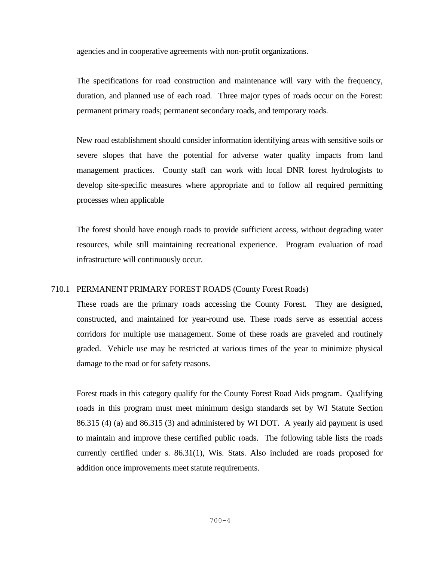agencies and in cooperative agreements with non-profit organizations.

The specifications for road construction and maintenance will vary with the frequency, duration, and planned use of each road. Three major types of roads occur on the Forest: permanent primary roads; permanent secondary roads, and temporary roads*.* 

New road establishment should consider information identifying areas with sensitive soils or severe slopes that have the potential for adverse water quality impacts from land management practices. County staff can work with local DNR forest hydrologists to develop site-specific measures where appropriate and to follow all required permitting processes when applicable

The forest should have enough roads to provide sufficient access, without degrading water resources, while still maintaining recreational experience. Program evaluation of road infrastructure will continuously occur.

#### <span id="page-3-0"></span>710.1 PERMANENT PRIMARY FOREST ROADS (County Forest Roads)

These roads are the primary roads accessing the County Forest. They are designed, constructed, and maintained for year-round use. These roads serve as essential access corridors for multiple use management. Some of these roads are graveled and routinely graded. Vehicle use may be restricted at various times of the year to minimize physical damage to the road or for safety reasons.

Forest roads in this category qualify for the County Forest Road Aids program. Qualifying roads in this program must meet minimum design standards set by WI Statute Section 86.315 (4) (a) and 86.315 (3) and administered by WI DOT. A yearly aid payment is used to maintain and improve these certified public roads. The following table lists the roads currently certified under s. 86.31(1), Wis. Stats. Also included are roads proposed for addition once improvements meet statute requirements.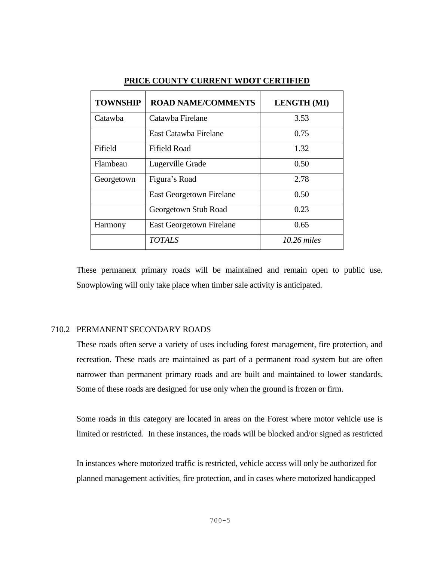| <b>TOWNSHIP</b> | <b>ROAD NAME/COMMENTS</b> | <b>LENGTH (MI)</b> |
|-----------------|---------------------------|--------------------|
| Catawha         | Catawba Firelane          | 3.53               |
|                 | East Catawba Firelane     | 0.75               |
| Fifield         | Fifield Road              | 1.32               |
| Flambeau        | Lugerville Grade          | 0.50               |
| Georgetown      | Figura's Road             | 2.78               |
|                 | East Georgetown Firelane  | 0.50               |
|                 | Georgetown Stub Road      | 0.23               |
| Harmony         | East Georgetown Firelane  | 0.65               |
|                 | <b>TOTALS</b>             | $10.26$ miles      |

#### **PRICE COUNTY CURRENT WDOT CERTIFIED**

These permanent primary roads will be maintained and remain open to public use. Snowplowing will only take place when timber sale activity is anticipated.

#### <span id="page-4-0"></span>710.2 PERMANENT SECONDARY ROADS

These roads often serve a variety of uses including forest management, fire protection, and recreation. These roads are maintained as part of a permanent road system but are often narrower than permanent primary roads and are built and maintained to lower standards. Some of these roads are designed for use only when the ground is frozen or firm.

Some roads in this category are located in areas on the Forest where motor vehicle use is limited or restricted. In these instances, the roads will be blocked and/or signed as restricted

In instances where motorized traffic is restricted, vehicle access will only be authorized for planned management activities, fire protection, and in cases where motorized handicapped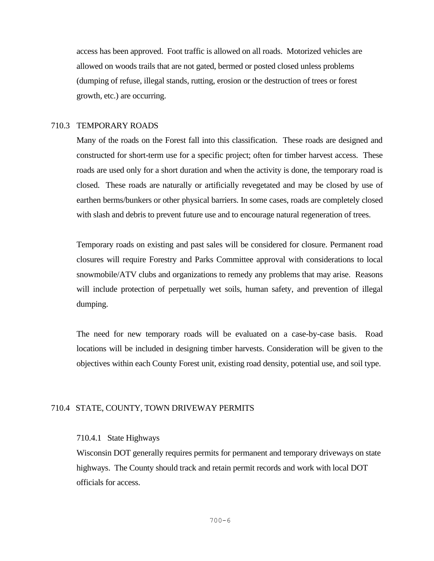access has been approved. Foot traffic is allowed on all roads. Motorized vehicles are allowed on woods trails that are not gated, bermed or posted closed unless problems (dumping of refuse, illegal stands, rutting, erosion or the destruction of trees or forest growth, etc.) are occurring.

#### <span id="page-5-0"></span>710.3 TEMPORARY ROADS

Many of the roads on the Forest fall into this classification. These roads are designed and constructed for short-term use for a specific project; often for timber harvest access. These roads are used only for a short duration and when the activity is done, the temporary road is closed. These roads are naturally or artificially revegetated and may be closed by use of earthen berms/bunkers or other physical barriers. In some cases, roads are completely closed with slash and debris to prevent future use and to encourage natural regeneration of trees.

Temporary roads on existing and past sales will be considered for closure. Permanent road closures will require Forestry and Parks Committee approval with considerations to local snowmobile/ATV clubs and organizations to remedy any problems that may arise. Reasons will include protection of perpetually wet soils, human safety, and prevention of illegal dumping.

The need for new temporary roads will be evaluated on a case-by-case basis. Road locations will be included in designing timber harvests. Consideration will be given to the objectives within each County Forest unit, existing road density, potential use, and soil type.

#### <span id="page-5-1"></span>710.4 STATE, COUNTY, TOWN DRIVEWAY PERMITS

#### <span id="page-5-2"></span>710.4.1 State Highways

Wisconsin DOT generally requires permits for permanent and temporary driveways on state highways. The County should track and retain permit records and work with local DOT officials for access.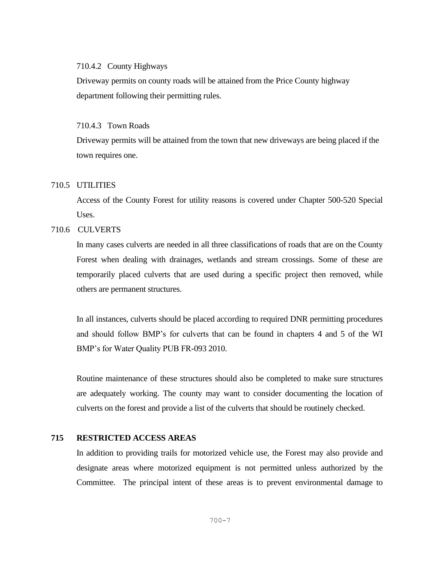#### <span id="page-6-0"></span>710.4.2 County Highways

Driveway permits on county roads will be attained from the Price County highway department following their permitting rules.

#### <span id="page-6-1"></span>710.4.3 Town Roads

Driveway permits will be attained from the town that new driveways are being placed if the town requires one.

#### <span id="page-6-2"></span>710.5 UTILITIES

Access of the County Forest for utility reasons is covered under Chapter 500-520 Special Uses.

#### <span id="page-6-3"></span>710.6 CULVERTS

In many cases culverts are needed in all three classifications of roads that are on the County Forest when dealing with drainages, wetlands and stream crossings. Some of these are temporarily placed culverts that are used during a specific project then removed, while others are permanent structures.

In all instances, culverts should be placed according to required DNR permitting procedures and should follow BMP's for culverts that can be found in chapters 4 and 5 of the WI BMP's for Water Quality PUB FR-093 2010.

Routine maintenance of these structures should also be completed to make sure structures are adequately working. The county may want to consider documenting the location of culverts on the forest and provide a list of the culverts that should be routinely checked.

#### <span id="page-6-4"></span>**715 RESTRICTED ACCESS AREAS**

In addition to providing trails for motorized vehicle use, the Forest may also provide and designate areas where motorized equipment is not permitted unless authorized by the Committee. The principal intent of these areas is to prevent environmental damage to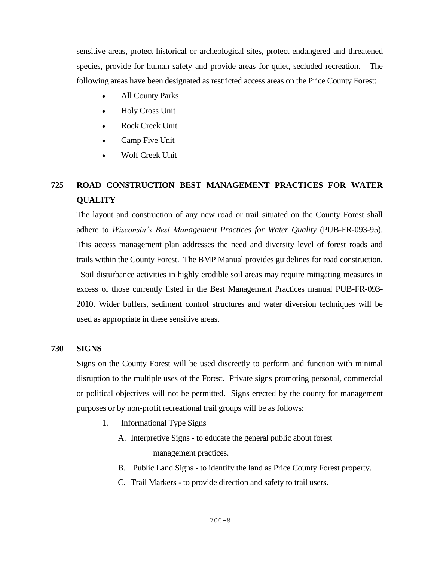sensitive areas, protect historical or archeological sites, protect endangered and threatened species, provide for human safety and provide areas for quiet, secluded recreation. The following areas have been designated as restricted access areas on the Price County Forest:

- All County Parks
- Holy Cross Unit
- Rock Creek Unit
- Camp Five Unit
- Wolf Creek Unit

# <span id="page-7-0"></span>**725 ROAD CONSTRUCTION BEST MANAGEMENT PRACTICES FOR WATER QUALITY**

The layout and construction of any new road or trail situated on the County Forest shall adhere to *Wisconsin's Best Management Practices for Water Quality* (PUB-FR-093-95). This access management plan addresses the need and diversity level of forest roads and trails within the County Forest. The BMP Manual provides guidelines for road construction. Soil disturbance activities in highly erodible soil areas may require mitigating measures in excess of those currently listed in the Best Management Practices manual PUB-FR-093- 2010. Wider buffers, sediment control structures and water diversion techniques will be used as appropriate in these sensitive areas.

#### <span id="page-7-1"></span>**730 SIGNS**

Signs on the County Forest will be used discreetly to perform and function with minimal disruption to the multiple uses of the Forest. Private signs promoting personal, commercial or political objectives will not be permitted. Signs erected by the county for management purposes or by non-profit recreational trail groups will be as follows:

- 1. Informational Type Signs
	- A. Interpretive Signs to educate the general public about forest management practices.
	- B. Public Land Signs to identify the land as Price County Forest property.
	- C. Trail Markers to provide direction and safety to trail users.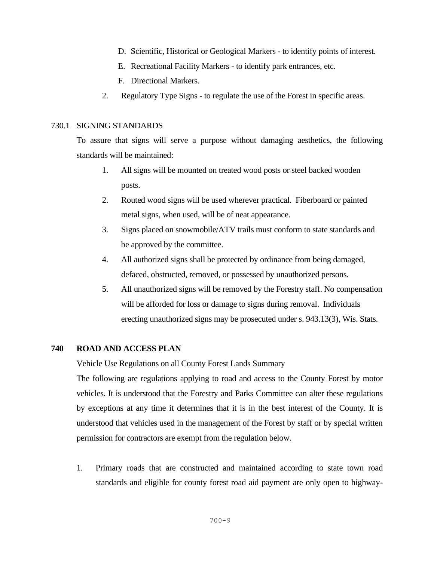- D. Scientific, Historical or Geological Markers to identify points of interest.
- E. Recreational Facility Markers to identify park entrances, etc.
- F. Directional Markers.
- 2. Regulatory Type Signs to regulate the use of the Forest in specific areas.

#### <span id="page-8-0"></span>730.1 SIGNING STANDARDS

To assure that signs will serve a purpose without damaging aesthetics, the following standards will be maintained:

- 1. All signs will be mounted on treated wood posts or steel backed wooden posts.
- 2. Routed wood signs will be used wherever practical. Fiberboard or painted metal signs, when used, will be of neat appearance.
- 3. Signs placed on snowmobile/ATV trails must conform to state standards and be approved by the committee.
- 4. All authorized signs shall be protected by ordinance from being damaged, defaced, obstructed, removed, or possessed by unauthorized persons.
- 5. All unauthorized signs will be removed by the Forestry staff. No compensation will be afforded for loss or damage to signs during removal. Individuals erecting unauthorized signs may be prosecuted under s. 943.13(3), Wis. Stats.

#### <span id="page-8-1"></span>**740 ROAD AND ACCESS PLAN**

Vehicle Use Regulations on all County Forest Lands Summary

The following are regulations applying to road and access to the County Forest by motor vehicles. It is understood that the Forestry and Parks Committee can alter these regulations by exceptions at any time it determines that it is in the best interest of the County. It is understood that vehicles used in the management of the Forest by staff or by special written permission for contractors are exempt from the regulation below.

1. Primary roads that are constructed and maintained according to state town road standards and eligible for county forest road aid payment are only open to highway